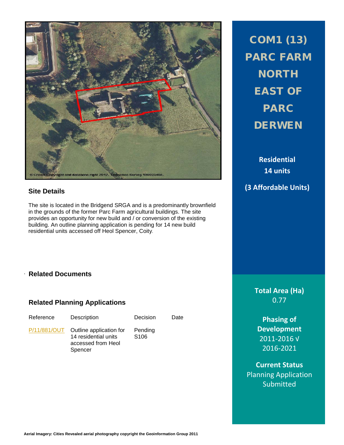

### **Site Details**

The site is located in the Bridgend SRGA and is a predominantly brownfield in the grounds of the former Parc Farm agricultural buildings. The site provides an opportunity for new build and / or conversion of the existing building. An outline planning application is pending for 14 new build residential units accessed off Heol Spencer, Coity.

## . **Related Documents**

### **Related Planning Applications**

| Reference | Description                                                                                   | Decision                    | Date |
|-----------|-----------------------------------------------------------------------------------------------|-----------------------------|------|
|           | P/11/881/OUT Outline application for<br>14 residential units<br>accessed from Heol<br>Spencer | Pending<br>S <sub>106</sub> |      |

COM1 (13) PARC FARM **NORTH** EAST OF PARC **DERWEN** 

**Residential 14 units (3 Affordable Units)**

> **Total Area (Ha)** 0.77

**Phasing of Development** 2011-2016 √ 2016-2021

**Current Status** Planning Application **Submitted**